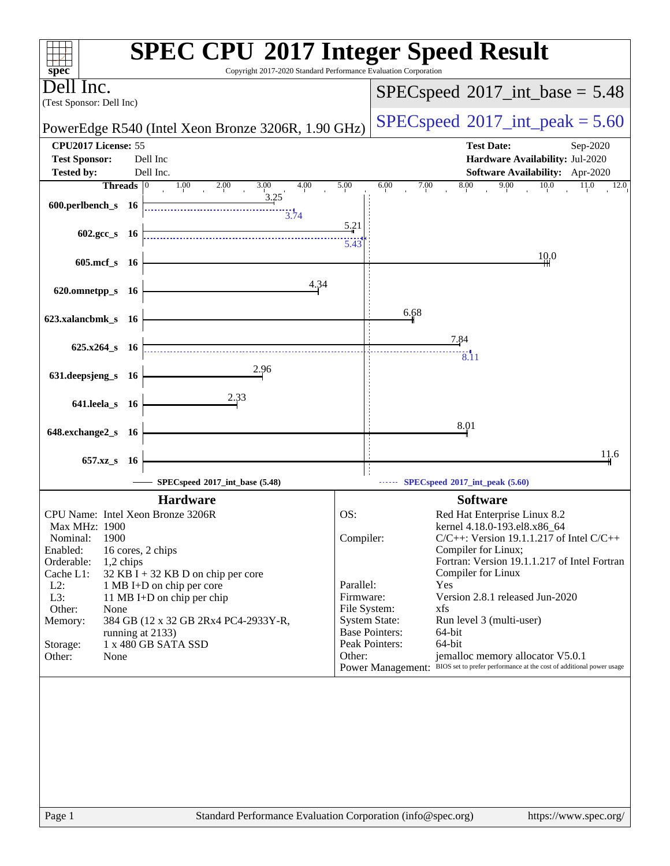| $spec^*$                                                                     | <b>SPEC CPU®2017 Integer Speed Result</b><br>Copyright 2017-2020 Standard Performance Evaluation Corporation                         |
|------------------------------------------------------------------------------|--------------------------------------------------------------------------------------------------------------------------------------|
| Jell Inc.<br>(Test Sponsor: Dell Inc)                                        | $SPEC speed^{\circ}2017\_int\_base = 5.48$                                                                                           |
| PowerEdge R540 (Intel Xeon Bronze 3206R, 1.90 GHz)                           | $SPEC speed^{\circ}2017\_int\_peak = 5.60$                                                                                           |
| CPU2017 License: 55                                                          | <b>Test Date:</b><br>Sep-2020                                                                                                        |
| <b>Test Sponsor:</b><br>Dell Inc<br>Dell Inc.<br><b>Tested by:</b>           | Hardware Availability: Jul-2020<br>Software Availability: Apr-2020                                                                   |
| <b>Threads</b><br>$ 0\rangle$<br>2.00<br>3.00<br>4.00<br>1.00<br>3.25        | 9.00<br>5.00<br>6.00<br>8.00<br>10.0<br>7.00<br>11.0<br>12.0                                                                         |
| 600.perlbench_s 16<br>3.74                                                   | 5.21                                                                                                                                 |
| $602.\text{gcc s}$ 16                                                        | 5.43                                                                                                                                 |
| $605$ .mcf_s<br>- 16                                                         | 10.0                                                                                                                                 |
| 4.34<br>620.omnetpp_s<br>- 16                                                |                                                                                                                                      |
| 623.xalancbmk_s 16                                                           | 6.68                                                                                                                                 |
| $625.x264_s$ 16                                                              | 7.84                                                                                                                                 |
| 2.96<br>631.deepsjeng_s 16                                                   | $\overline{8.11}$                                                                                                                    |
| 2.33<br>641.leela_s 16                                                       |                                                                                                                                      |
|                                                                              | 8.01                                                                                                                                 |
| 648.exchange2_s<br>- 16                                                      | 11.6                                                                                                                                 |
| 657.xz_s<br><b>16</b><br>SPECspeed®2017_int_base (5.48)                      | SPECspeed®2017_int_peak (5.60)                                                                                                       |
| <b>Hardware</b>                                                              | <b>Software</b>                                                                                                                      |
| CPU Name: Intel Xeon Bronze 3206R                                            | OS:<br>Red Hat Enterprise Linux 8.2                                                                                                  |
| Max MHz: 1900<br>1900<br>Nominal:                                            | kernel 4.18.0-193.el8.x86_64<br>Compiler:<br>$C/C++$ : Version 19.1.1.217 of Intel $C/C++$                                           |
| Enabled:<br>16 cores, 2 chips                                                | Compiler for Linux;                                                                                                                  |
| Orderable:<br>1,2 chips<br>Cache L1:<br>$32$ KB I + 32 KB D on chip per core | Fortran: Version 19.1.1.217 of Intel Fortran<br>Compiler for Linux                                                                   |
| $L2$ :<br>1 MB I+D on chip per core                                          | Parallel:<br>Yes                                                                                                                     |
| L3:<br>11 MB I+D on chip per chip                                            | Version 2.8.1 released Jun-2020<br>Firmware:                                                                                         |
| Other:<br>None<br>384 GB (12 x 32 GB 2Rx4 PC4-2933Y-R,<br>Memory:            | File System:<br>xfs<br><b>System State:</b><br>Run level 3 (multi-user)                                                              |
| running at 2133)                                                             | <b>Base Pointers:</b><br>64-bit                                                                                                      |
| 1 x 480 GB SATA SSD<br>Storage:                                              | Peak Pointers:<br>64-bit                                                                                                             |
| Other:<br>None                                                               | jemalloc memory allocator V5.0.1<br>Other:<br>Power Management: BIOS set to prefer performance at the cost of additional power usage |
|                                                                              |                                                                                                                                      |
|                                                                              |                                                                                                                                      |
|                                                                              |                                                                                                                                      |
|                                                                              |                                                                                                                                      |
|                                                                              |                                                                                                                                      |
|                                                                              |                                                                                                                                      |
|                                                                              |                                                                                                                                      |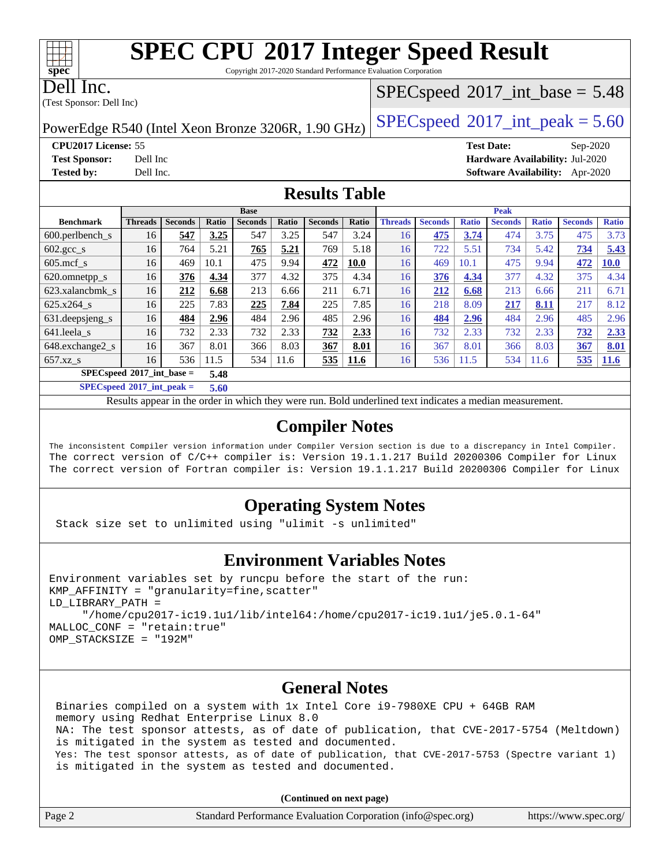Copyright 2017-2020 Standard Performance Evaluation Corporation

Dell Inc.

(Test Sponsor: Dell Inc)

## $SPECspeed^{\circledcirc}2017\_int\_base = 5.48$  $SPECspeed^{\circledcirc}2017\_int\_base = 5.48$

PowerEdge R540 (Intel Xeon Bronze 3206R, 1.90 GHz)  $\left|$  [SPECspeed](http://www.spec.org/auto/cpu2017/Docs/result-fields.html#SPECspeed2017intpeak)®[2017\\_int\\_peak = 5](http://www.spec.org/auto/cpu2017/Docs/result-fields.html#SPECspeed2017intpeak).60

**[CPU2017 License:](http://www.spec.org/auto/cpu2017/Docs/result-fields.html#CPU2017License)** 55 **[Test Date:](http://www.spec.org/auto/cpu2017/Docs/result-fields.html#TestDate)** Sep-2020 **[Test Sponsor:](http://www.spec.org/auto/cpu2017/Docs/result-fields.html#TestSponsor)** Dell Inc **[Hardware Availability:](http://www.spec.org/auto/cpu2017/Docs/result-fields.html#HardwareAvailability)** Jul-2020 **[Tested by:](http://www.spec.org/auto/cpu2017/Docs/result-fields.html#Testedby)** Dell Inc. **[Software Availability:](http://www.spec.org/auto/cpu2017/Docs/result-fields.html#SoftwareAvailability)** Apr-2020

#### **[Results Table](http://www.spec.org/auto/cpu2017/Docs/result-fields.html#ResultsTable)**

|                                     |                |                |       | <b>Base</b>    |       |                |             |                |                |              | <b>Peak</b>    |              |                |              |
|-------------------------------------|----------------|----------------|-------|----------------|-------|----------------|-------------|----------------|----------------|--------------|----------------|--------------|----------------|--------------|
| <b>Benchmark</b>                    | <b>Threads</b> | <b>Seconds</b> | Ratio | <b>Seconds</b> | Ratio | <b>Seconds</b> | Ratio       | <b>Threads</b> | <b>Seconds</b> | <b>Ratio</b> | <b>Seconds</b> | <b>Ratio</b> | <b>Seconds</b> | <b>Ratio</b> |
| $600.$ perlbench $\mathsf{S}$       | 16             | 547            | 3.25  | 547            | 3.25  | 547            | 3.24        | 16             | 475            | 3.74         | 474            | 3.75         | 475            | 3.73         |
| $602 \text{.} \text{gcc}\text{.}$ s | 16             | 764            | 5.21  | 765            | 5.21  | 769            | 5.18        | 16             | 722            | 5.51         | 734            | 5.42         | 734            | 5.43         |
| $605$ .mcf s                        | 16             | 469            | 10.1  | 475            | 9.94  | 472            | <b>10.0</b> | 16             | 469            | 10.1         | 475            | 9.94         | 472            | <b>10.0</b>  |
| 620.omnetpp_s                       | 16             | 376            | 4.34  | 377            | 4.32  | 375            | 4.34        | 16             | 376            | 4.34         | 377            | 4.32         | 375            | 4.34         |
| 623.xalancbmk s                     | 16             | 212            | 6.68  | 213            | 6.66  | 211            | 6.71        | 16             | 212            | 6.68         | 213            | 6.66         | 211            | 6.71         |
| 625.x264 s                          | 16             | 225            | 7.83  | 225            | 7.84  | 225            | 7.85        | 16             | 218            | 8.09         | 217            | 8.11         | 217            | 8.12         |
| 631.deepsjeng_s                     | 16             | 484            | 2.96  | 484            | 2.96  | 485            | 2.96        | 16             | 484            | 2.96         | 484            | 2.96         | 485            | 2.96         |
| 641.leela s                         | 16             | 732            | 2.33  | 732            | 2.33  | 732            | 2.33        | 16             | 732            | 2.33         | 732            | 2.33         | 732            | 2.33         |
| 648.exchange2_s                     | 16             | 367            | 8.01  | 366            | 8.03  | 367            | 8.01        | 16             | 367            | 8.01         | 366            | 8.03         | 367            | 8.01         |
| $657.xz$ s                          | 16             | 536            | 11.5  | 534            | 11.6  | 535            | <b>11.6</b> | 16             | 536            | 11.5         | 534            | 11.6         | 535            | <b>11.6</b>  |
| $SPECspeed*2017$ int base =         |                |                | 5.48  |                |       |                |             |                |                |              |                |              |                |              |

**[SPECspeed](http://www.spec.org/auto/cpu2017/Docs/result-fields.html#SPECspeed2017intpeak)[2017\\_int\\_peak =](http://www.spec.org/auto/cpu2017/Docs/result-fields.html#SPECspeed2017intpeak) 5.60**

Results appear in the [order in which they were run.](http://www.spec.org/auto/cpu2017/Docs/result-fields.html#RunOrder) Bold underlined text [indicates a median measurement](http://www.spec.org/auto/cpu2017/Docs/result-fields.html#Median).

### **[Compiler Notes](http://www.spec.org/auto/cpu2017/Docs/result-fields.html#CompilerNotes)**

The inconsistent Compiler version information under Compiler Version section is due to a discrepancy in Intel Compiler. The correct version of C/C++ compiler is: Version 19.1.1.217 Build 20200306 Compiler for Linux The correct version of Fortran compiler is: Version 19.1.1.217 Build 20200306 Compiler for Linux

### **[Operating System Notes](http://www.spec.org/auto/cpu2017/Docs/result-fields.html#OperatingSystemNotes)**

Stack size set to unlimited using "ulimit -s unlimited"

### **[Environment Variables Notes](http://www.spec.org/auto/cpu2017/Docs/result-fields.html#EnvironmentVariablesNotes)**

```
Environment variables set by runcpu before the start of the run:
KMP AFFINITY = "granularity=fine, scatter"
LD_LIBRARY_PATH =
      "/home/cpu2017-ic19.1u1/lib/intel64:/home/cpu2017-ic19.1u1/je5.0.1-64"
MALLOC_CONF = "retain:true"
OMP_STACKSIZE = "192M"
```
#### **[General Notes](http://www.spec.org/auto/cpu2017/Docs/result-fields.html#GeneralNotes)**

 Binaries compiled on a system with 1x Intel Core i9-7980XE CPU + 64GB RAM memory using Redhat Enterprise Linux 8.0 NA: The test sponsor attests, as of date of publication, that CVE-2017-5754 (Meltdown) is mitigated in the system as tested and documented. Yes: The test sponsor attests, as of date of publication, that CVE-2017-5753 (Spectre variant 1) is mitigated in the system as tested and documented.

**(Continued on next page)**

| Page 2 | Standard Performance Evaluation Corporation (info@spec.org) | https://www.spec.org/ |
|--------|-------------------------------------------------------------|-----------------------|
|--------|-------------------------------------------------------------|-----------------------|

 $+\ +$ **[spec](http://www.spec.org/)**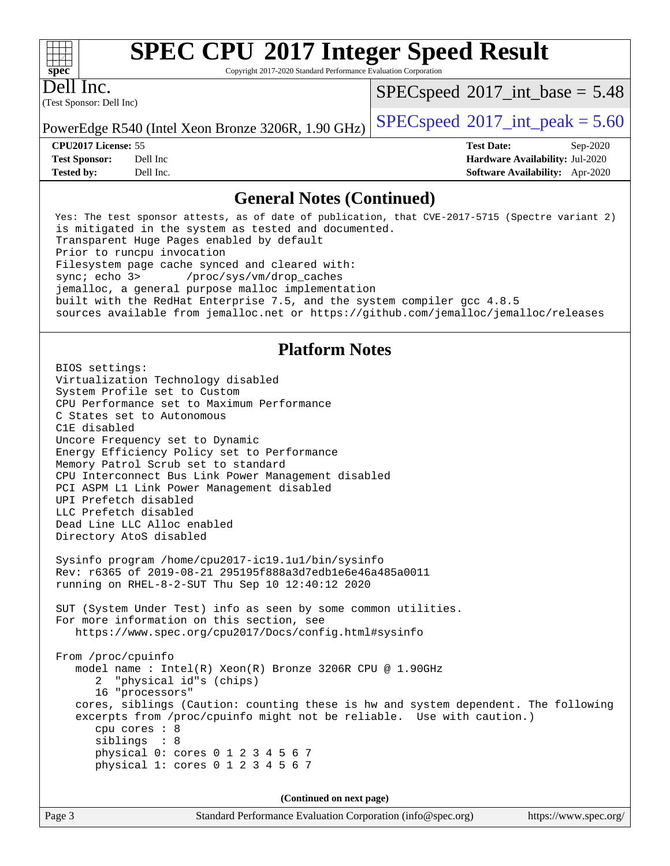Copyright 2017-2020 Standard Performance Evaluation Corporation

(Test Sponsor: Dell Inc) Dell Inc.

**[spec](http://www.spec.org/)**

 $+\!\!+\!\!$ 

 $SPECspeed^{\circ}2017\_int\_base = 5.48$  $SPECspeed^{\circ}2017\_int\_base = 5.48$ 

**[Tested by:](http://www.spec.org/auto/cpu2017/Docs/result-fields.html#Testedby)** Dell Inc. **[Software Availability:](http://www.spec.org/auto/cpu2017/Docs/result-fields.html#SoftwareAvailability)** Apr-2020

PowerEdge R540 (Intel Xeon Bronze 3206R, 1.90 GHz)  $\left|$  [SPECspeed](http://www.spec.org/auto/cpu2017/Docs/result-fields.html#SPECspeed2017intpeak)®[2017\\_int\\_peak = 5](http://www.spec.org/auto/cpu2017/Docs/result-fields.html#SPECspeed2017intpeak).60

**[CPU2017 License:](http://www.spec.org/auto/cpu2017/Docs/result-fields.html#CPU2017License)** 55 **[Test Date:](http://www.spec.org/auto/cpu2017/Docs/result-fields.html#TestDate)** Sep-2020 **[Test Sponsor:](http://www.spec.org/auto/cpu2017/Docs/result-fields.html#TestSponsor)** Dell Inc **[Hardware Availability:](http://www.spec.org/auto/cpu2017/Docs/result-fields.html#HardwareAvailability)** Jul-2020

#### **[General Notes \(Continued\)](http://www.spec.org/auto/cpu2017/Docs/result-fields.html#GeneralNotes)**

 Yes: The test sponsor attests, as of date of publication, that CVE-2017-5715 (Spectre variant 2) is mitigated in the system as tested and documented. Transparent Huge Pages enabled by default Prior to runcpu invocation Filesystem page cache synced and cleared with: sync; echo 3> /proc/sys/vm/drop\_caches jemalloc, a general purpose malloc implementation built with the RedHat Enterprise 7.5, and the system compiler gcc 4.8.5 sources available from jemalloc.net or <https://github.com/jemalloc/jemalloc/releases>

## **[Platform Notes](http://www.spec.org/auto/cpu2017/Docs/result-fields.html#PlatformNotes)**

 BIOS settings: Virtualization Technology disabled System Profile set to Custom CPU Performance set to Maximum Performance C States set to Autonomous C1E disabled Uncore Frequency set to Dynamic Energy Efficiency Policy set to Performance Memory Patrol Scrub set to standard CPU Interconnect Bus Link Power Management disabled PCI ASPM L1 Link Power Management disabled UPI Prefetch disabled LLC Prefetch disabled Dead Line LLC Alloc enabled Directory AtoS disabled Sysinfo program /home/cpu2017-ic19.1u1/bin/sysinfo Rev: r6365 of 2019-08-21 295195f888a3d7edb1e6e46a485a0011 running on RHEL-8-2-SUT Thu Sep 10 12:40:12 2020 SUT (System Under Test) info as seen by some common utilities. For more information on this section, see <https://www.spec.org/cpu2017/Docs/config.html#sysinfo> From /proc/cpuinfo model name : Intel(R) Xeon(R) Bronze 3206R CPU @ 1.90GHz 2 "physical id"s (chips) 16 "processors" cores, siblings (Caution: counting these is hw and system dependent. The following excerpts from /proc/cpuinfo might not be reliable. Use with caution.) cpu cores : 8 siblings : 8 physical 0: cores 0 1 2 3 4 5 6 7 physical 1: cores 0 1 2 3 4 5 6 7 **(Continued on next page)**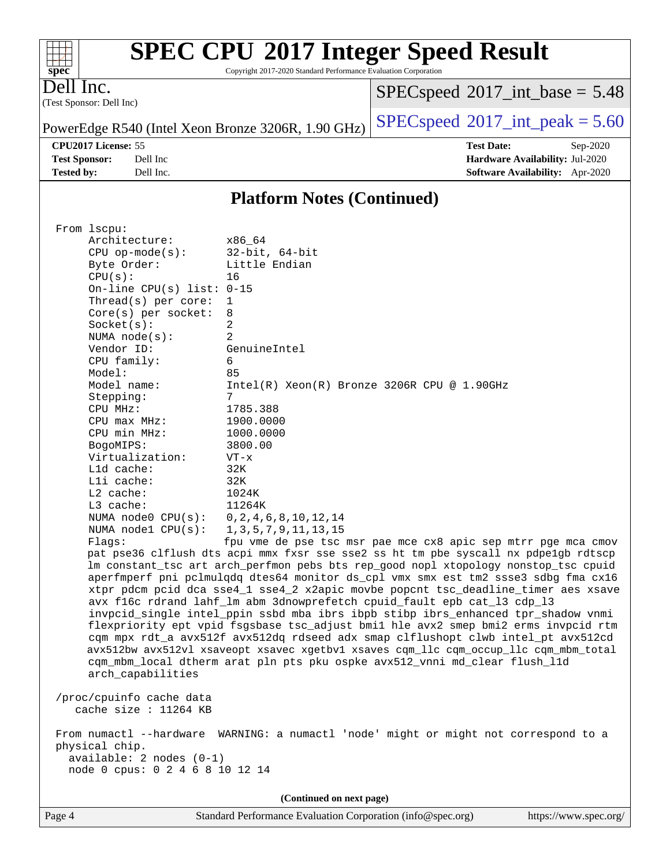| $\frac{1}{\text{spec}^*}$ | <b>SPEC CPU®2017 Integer Speed Result</b><br>Copyright 2017-2020 Standard Performance Evaluation Corporation |                                            |            |
|---------------------------|--------------------------------------------------------------------------------------------------------------|--------------------------------------------|------------|
| Dell Inc.                 | (Test Sponsor: Dell Inc)                                                                                     | $SPEC speed^{\circ}2017\_int\_base = 5.48$ |            |
|                           | PowerEdge R540 (Intel Xeon Bronze 3206R, 1.90 GHz) $\left $ SPECspeed®2017_int_peak = 5.60                   |                                            |            |
|                           | <b>CPU2017 License: 55</b>                                                                                   | <b>Test Date:</b>                          | $Sep-2020$ |

| <b>CI CAVIT LICCIOL</b> 22 |          |
|----------------------------|----------|
| <b>Test Sponsor:</b>       | Dell Inc |
| Tested hv•                 | Dell Inc |

**[Hardware Availability:](http://www.spec.org/auto/cpu2017/Docs/result-fields.html#HardwareAvailability)** Jul-2020 **[Software Availability:](http://www.spec.org/auto/cpu2017/Docs/result-fields.html#SoftwareAvailability)** Apr-2020

## **[Platform Notes \(Continued\)](http://www.spec.org/auto/cpu2017/Docs/result-fields.html#PlatformNotes)**

| From 1scpu:                     |                                                                                      |
|---------------------------------|--------------------------------------------------------------------------------------|
| Architecture:                   | x86_64                                                                               |
| $CPU$ op-mode( $s$ ):           | $32$ -bit, $64$ -bit<br>Little Endian                                                |
| Byte Order:                     |                                                                                      |
| CPU(s):                         | 16                                                                                   |
| On-line CPU(s) list: $0-15$     |                                                                                      |
| Thread(s) per core:             | 1                                                                                    |
| $Core(s)$ per socket:           | 8<br>$\overline{2}$                                                                  |
| Socket(s):<br>NUMA $node(s)$ :  | 2                                                                                    |
| Vendor ID:                      | GenuineIntel                                                                         |
| CPU family:                     | 6                                                                                    |
| Model:                          | 85                                                                                   |
| Model name:                     | Intel(R) Xeon(R) Bronze 3206R CPU @ 1.90GHz                                          |
| Stepping:                       | 7                                                                                    |
| CPU MHz:                        | 1785.388                                                                             |
| CPU max MHz:                    | 1900.0000                                                                            |
| CPU min MHz:                    | 1000.0000                                                                            |
| BogoMIPS:                       | 3800.00                                                                              |
| Virtualization:                 | $VT - x$                                                                             |
| Lld cache:                      | 32K                                                                                  |
| Lli cache:                      | 32K                                                                                  |
| $L2$ cache:                     | 1024K                                                                                |
| L3 cache:                       | 11264K                                                                               |
| NUMA $node0$ $CPU(s)$ :         | 0, 2, 4, 6, 8, 10, 12, 14                                                            |
| NUMA nodel CPU(s):              | 1, 3, 5, 7, 9, 11, 13, 15                                                            |
| Flags:                          | fpu vme de pse tsc msr pae mce cx8 apic sep mtrr pge mca cmov                        |
|                                 | pat pse36 clflush dts acpi mmx fxsr sse sse2 ss ht tm pbe syscall nx pdpelgb rdtscp  |
|                                 | lm constant_tsc art arch_perfmon pebs bts rep_good nopl xtopology nonstop_tsc cpuid  |
|                                 | aperfmperf pni pclmulqdq dtes64 monitor ds_cpl vmx smx est tm2 ssse3 sdbg fma cx16   |
|                                 | xtpr pdcm pcid dca sse4_1 sse4_2 x2apic movbe popcnt tsc_deadline_timer aes xsave    |
|                                 | avx f16c rdrand lahf_lm abm 3dnowprefetch cpuid_fault epb cat_13 cdp_13              |
|                                 | invpcid_single intel_ppin ssbd mba ibrs ibpb stibp ibrs_enhanced tpr_shadow vnmi     |
|                                 | flexpriority ept vpid fsgsbase tsc_adjust bmil hle avx2 smep bmi2 erms invpcid rtm   |
|                                 | cqm mpx rdt_a avx512f avx512dq rdseed adx smap clflushopt clwb intel_pt avx512cd     |
|                                 | avx512bw avx512vl xsaveopt xsavec xgetbvl xsaves cqm_llc cqm_occup_llc cqm_mbm_total |
|                                 | cqm_mbm_local dtherm arat pln pts pku ospke avx512_vnni md_clear flush_l1d           |
| arch_capabilities               |                                                                                      |
|                                 |                                                                                      |
| /proc/cpuinfo cache data        |                                                                                      |
| cache size : 11264 KB           |                                                                                      |
|                                 | From numactl --hardware WARNING: a numactl 'node' might or might not correspond to a |
| physical chip.                  |                                                                                      |
| available: 2 nodes (0-1)        |                                                                                      |
| node 0 cpus: 0 2 4 6 8 10 12 14 |                                                                                      |
|                                 |                                                                                      |
|                                 | (Continued on next page)                                                             |

Page 4 Standard Performance Evaluation Corporation [\(info@spec.org\)](mailto:info@spec.org) <https://www.spec.org/>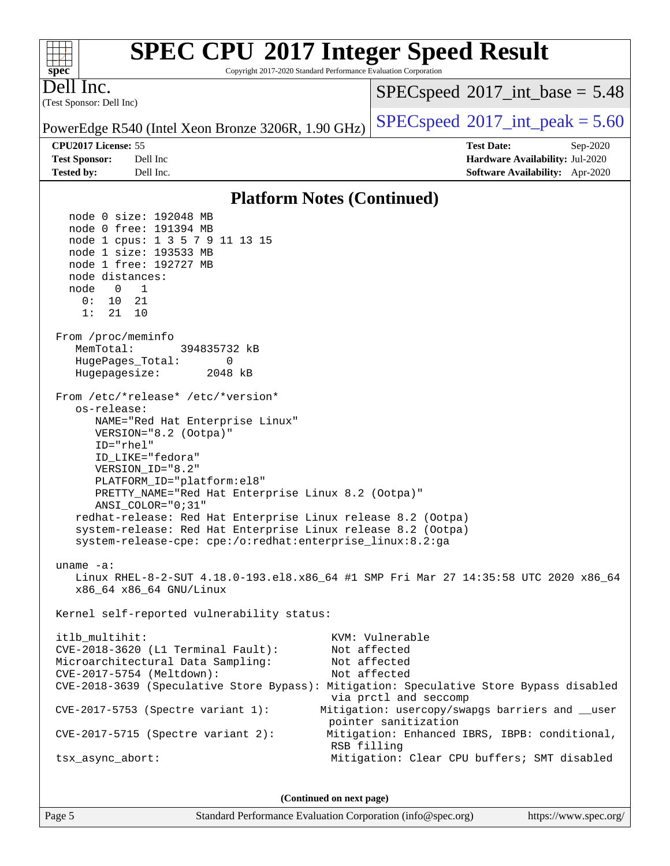| $spec^*$                                                                                                                                                                                                                                                                                                                                                                                                                                                                                                            | <b>SPEC CPU®2017 Integer Speed Result</b><br>Copyright 2017-2020 Standard Performance Evaluation Corporation                                                                                                                                                                                                                                                                  |
|---------------------------------------------------------------------------------------------------------------------------------------------------------------------------------------------------------------------------------------------------------------------------------------------------------------------------------------------------------------------------------------------------------------------------------------------------------------------------------------------------------------------|-------------------------------------------------------------------------------------------------------------------------------------------------------------------------------------------------------------------------------------------------------------------------------------------------------------------------------------------------------------------------------|
| Dell Inc.<br>(Test Sponsor: Dell Inc)                                                                                                                                                                                                                                                                                                                                                                                                                                                                               | $SPEC speed^{\circ}2017\_int\_base = 5.48$                                                                                                                                                                                                                                                                                                                                    |
| PowerEdge R540 (Intel Xeon Bronze 3206R, 1.90 GHz)                                                                                                                                                                                                                                                                                                                                                                                                                                                                  | $SPEC speed^{\circ}2017\_int\_peak = 5.60$                                                                                                                                                                                                                                                                                                                                    |
| CPU2017 License: 55                                                                                                                                                                                                                                                                                                                                                                                                                                                                                                 | <b>Test Date:</b><br>Sep-2020                                                                                                                                                                                                                                                                                                                                                 |
| <b>Test Sponsor:</b><br>Dell Inc                                                                                                                                                                                                                                                                                                                                                                                                                                                                                    | Hardware Availability: Jul-2020                                                                                                                                                                                                                                                                                                                                               |
| <b>Tested by:</b><br>Dell Inc.                                                                                                                                                                                                                                                                                                                                                                                                                                                                                      | Software Availability: Apr-2020                                                                                                                                                                                                                                                                                                                                               |
|                                                                                                                                                                                                                                                                                                                                                                                                                                                                                                                     | <b>Platform Notes (Continued)</b>                                                                                                                                                                                                                                                                                                                                             |
| node 0 size: 192048 MB<br>node 0 free: 191394 MB<br>node 1 cpus: 1 3 5 7 9 11 13 15<br>node 1 size: 193533 MB<br>node 1 free: 192727 MB<br>node distances:<br>node<br>1<br>0<br>0 :<br>10<br>-21<br>1:<br>21<br>10<br>From /proc/meminfo<br>MemTotal:<br>394835732 kB<br>HugePages_Total:<br>0<br>Hugepagesize:<br>2048 kB                                                                                                                                                                                          |                                                                                                                                                                                                                                                                                                                                                                               |
| From /etc/*release* /etc/*version*<br>os-release:<br>NAME="Red Hat Enterprise Linux"<br>VERSION="8.2 (Ootpa)"<br>ID="rhel"<br>ID_LIKE="fedora"<br>VERSION_ID="8.2"<br>PLATFORM_ID="platform:el8"<br>PRETTY_NAME="Red Hat Enterprise Linux 8.2 (Ootpa)"<br>ANSI COLOR="0;31"<br>redhat-release: Red Hat Enterprise Linux release 8.2 (Ootpa)<br>system-release: Red Hat Enterprise Linux release 8.2 (Ootpa)<br>system-release-cpe: cpe:/o:redhat:enterprise_linux:8.2:ga<br>uname $-a$ :<br>x86_64 x86_64 GNU/Linux | Linux RHEL-8-2-SUT 4.18.0-193.el8.x86_64 #1 SMP Fri Mar 27 14:35:58 UTC 2020 x86_64                                                                                                                                                                                                                                                                                           |
| Kernel self-reported vulnerability status:                                                                                                                                                                                                                                                                                                                                                                                                                                                                          |                                                                                                                                                                                                                                                                                                                                                                               |
| itlb_multihit:<br>CVE-2018-3620 (L1 Terminal Fault):<br>Microarchitectural Data Sampling:<br>CVE-2017-5754 (Meltdown):<br>CVE-2017-5753 (Spectre variant 1):<br>$CVE-2017-5715$ (Spectre variant 2):<br>tsx_async_abort:                                                                                                                                                                                                                                                                                            | KVM: Vulnerable<br>Not affected<br>Not affected<br>Not affected<br>CVE-2018-3639 (Speculative Store Bypass): Mitigation: Speculative Store Bypass disabled<br>via prctl and seccomp<br>Mitigation: usercopy/swapgs barriers and __user<br>pointer sanitization<br>Mitigation: Enhanced IBRS, IBPB: conditional,<br>RSB filling<br>Mitigation: Clear CPU buffers; SMT disabled |
|                                                                                                                                                                                                                                                                                                                                                                                                                                                                                                                     |                                                                                                                                                                                                                                                                                                                                                                               |

**(Continued on next page)**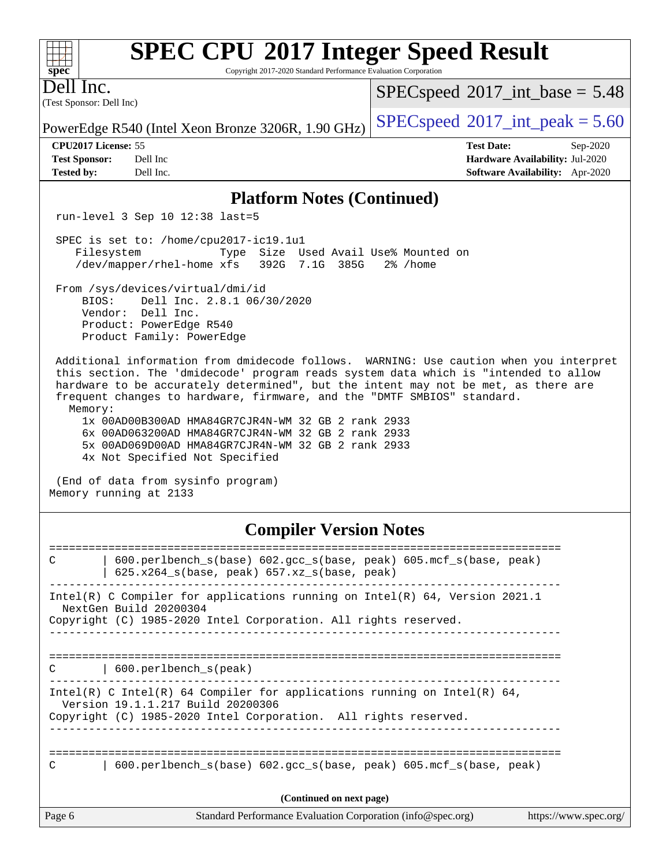Copyright 2017-2020 Standard Performance Evaluation Corporation

(Test Sponsor: Dell Inc) Dell Inc.

**[spec](http://www.spec.org/)**

 $+\ +$ 

 $SPECspeed^{\circ}2017\_int\_base = 5.48$  $SPECspeed^{\circ}2017\_int\_base = 5.48$ 

PowerEdge R540 (Intel Xeon Bronze 3206R, 1.90 GHz)  $\left|$  [SPECspeed](http://www.spec.org/auto/cpu2017/Docs/result-fields.html#SPECspeed2017intpeak)®[2017\\_int\\_peak = 5](http://www.spec.org/auto/cpu2017/Docs/result-fields.html#SPECspeed2017intpeak).60

**[CPU2017 License:](http://www.spec.org/auto/cpu2017/Docs/result-fields.html#CPU2017License)** 55 **[Test Date:](http://www.spec.org/auto/cpu2017/Docs/result-fields.html#TestDate)** Sep-2020 **[Test Sponsor:](http://www.spec.org/auto/cpu2017/Docs/result-fields.html#TestSponsor)** Dell Inc **[Hardware Availability:](http://www.spec.org/auto/cpu2017/Docs/result-fields.html#HardwareAvailability)** Jul-2020 **[Tested by:](http://www.spec.org/auto/cpu2017/Docs/result-fields.html#Testedby)** Dell Inc. **[Software Availability:](http://www.spec.org/auto/cpu2017/Docs/result-fields.html#SoftwareAvailability)** Apr-2020

#### **[Platform Notes \(Continued\)](http://www.spec.org/auto/cpu2017/Docs/result-fields.html#PlatformNotes)**

run-level 3 Sep 10 12:38 last=5

 SPEC is set to: /home/cpu2017-ic19.1u1 Filesystem Type Size Used Avail Use% Mounted on /dev/mapper/rhel-home xfs 392G 7.1G 385G 2% /home

 From /sys/devices/virtual/dmi/id BIOS: Dell Inc. 2.8.1 06/30/2020 Vendor: Dell Inc. Product: PowerEdge R540 Product Family: PowerEdge

 Additional information from dmidecode follows. WARNING: Use caution when you interpret this section. The 'dmidecode' program reads system data which is "intended to allow hardware to be accurately determined", but the intent may not be met, as there are frequent changes to hardware, firmware, and the "DMTF SMBIOS" standard. Memory:

 1x 00AD00B300AD HMA84GR7CJR4N-WM 32 GB 2 rank 2933 6x 00AD063200AD HMA84GR7CJR4N-WM 32 GB 2 rank 2933 5x 00AD069D00AD HMA84GR7CJR4N-WM 32 GB 2 rank 2933 4x Not Specified Not Specified

 (End of data from sysinfo program) Memory running at 2133

## **[Compiler Version Notes](http://www.spec.org/auto/cpu2017/Docs/result-fields.html#CompilerVersionNotes)**

| C      | $600. perlbench_s(base) 602. gcc_s(base, peak) 605. mcf_s(base, peak)$<br>$625.x264_s(base, peak)$ 657.xz <sub>_S</sub> (base, peak)                                             |
|--------|----------------------------------------------------------------------------------------------------------------------------------------------------------------------------------|
|        | Intel(R) C Compiler for applications running on Intel(R) $64$ , Version 2021.1<br>NextGen Build 20200304<br>Copyright (C) 1985-2020 Intel Corporation. All rights reserved.      |
| C      | 600.perlbench s(peak)                                                                                                                                                            |
|        | Intel(R) C Intel(R) 64 Compiler for applications running on Intel(R) 64,<br>Version 19.1.1.217 Build 20200306<br>Copyright (C) 1985-2020 Intel Corporation. All rights reserved. |
| C      | $600.$ perlbench $s(base) 602.$ qcc $s(base, peak) 605.$ mcf $s(base, peak)$                                                                                                     |
|        | (Continued on next page)                                                                                                                                                         |
| Page 6 | Standard Performance Evaluation Corporation (info@spec.org)<br>https://www.spec.org/                                                                                             |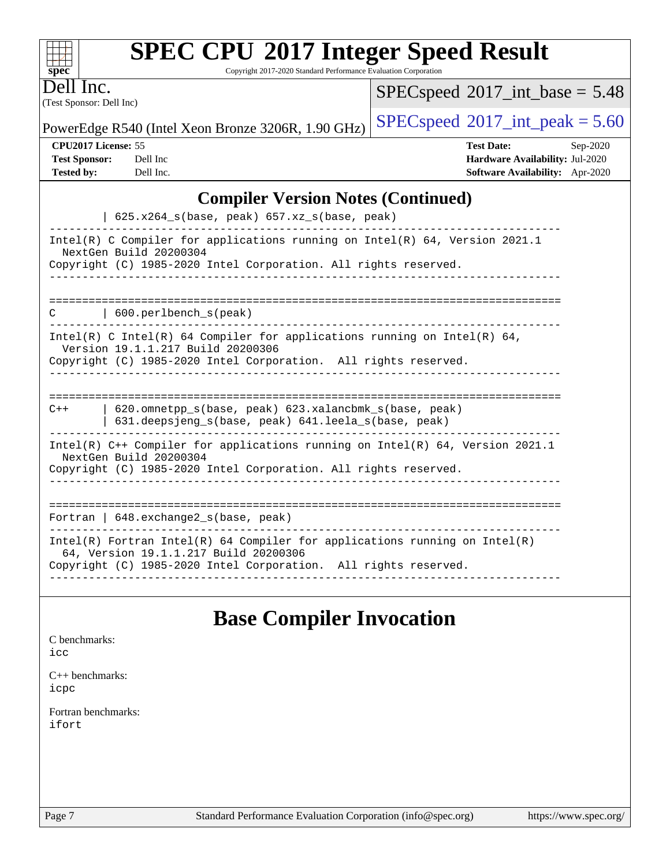| <b>SPEC CPU®2017 Integer Speed Result</b> |  |
|-------------------------------------------|--|
|-------------------------------------------|--|

Copyright 2017-2020 Standard Performance Evaluation Corporation

(Test Sponsor: Dell Inc) Dell Inc.

**[spec](http://www.spec.org/)**

 $+\!+\!$ 

 $SPECspeed*2017\_int\_base = 5.48$  $SPECspeed*2017\_int\_base = 5.48$ 

PowerEdge R540 (Intel Xeon Bronze 3206R, 1.90 GHz) [SPECspeed](http://www.spec.org/auto/cpu2017/Docs/result-fields.html#SPECspeed2017intpeak)<sup>®</sup>[2017\\_int\\_peak = 5](http://www.spec.org/auto/cpu2017/Docs/result-fields.html#SPECspeed2017intpeak).60

**[CPU2017 License:](http://www.spec.org/auto/cpu2017/Docs/result-fields.html#CPU2017License)** 55 **[Test Date:](http://www.spec.org/auto/cpu2017/Docs/result-fields.html#TestDate)** Sep-2020 **[Test Sponsor:](http://www.spec.org/auto/cpu2017/Docs/result-fields.html#TestSponsor)** Dell Inc **[Hardware Availability:](http://www.spec.org/auto/cpu2017/Docs/result-fields.html#HardwareAvailability)** Jul-2020 **[Tested by:](http://www.spec.org/auto/cpu2017/Docs/result-fields.html#Testedby)** Dell Inc. **[Software Availability:](http://www.spec.org/auto/cpu2017/Docs/result-fields.html#SoftwareAvailability)** Apr-2020

## **[Compiler Version Notes \(Continued\)](http://www.spec.org/auto/cpu2017/Docs/result-fields.html#CompilerVersionNotes)**

| $625.x264_s(base, peak)$ 657.xz <sub>_S</sub> (base, peak)                                                                                                                             |
|----------------------------------------------------------------------------------------------------------------------------------------------------------------------------------------|
| Intel(R) C Compiler for applications running on Intel(R) 64, Version 2021.1<br>NextGen Build 20200304<br>Copyright (C) 1985-2020 Intel Corporation. All rights reserved.               |
| $\vert$ 600. perlbench s(peak)<br>C                                                                                                                                                    |
| Intel(R) C Intel(R) 64 Compiler for applications running on Intel(R) 64,<br>Version 19.1.1.217 Build 20200306<br>Copyright (C) 1985-2020 Intel Corporation. All rights reserved.       |
|                                                                                                                                                                                        |
| 620.omnetpp s(base, peak) 623.xalancbmk s(base, peak)<br>$C++$<br>631.deepsjeng_s(base, peak) 641.leela_s(base, peak)                                                                  |
| Intel(R) $C++$ Compiler for applications running on Intel(R) 64, Version 2021.1<br>NextGen Build 20200304<br>Copyright (C) 1985-2020 Intel Corporation. All rights reserved.           |
| --------------------------<br>Fortran   $648$ . exchange2 $s$ (base, peak)                                                                                                             |
| Intel(R) Fortran Intel(R) 64 Compiler for applications running on Intel(R)<br>64, Version 19.1.1.217 Build 20200306<br>Copyright (C) 1985-2020 Intel Corporation. All rights reserved. |

## **[Base Compiler Invocation](http://www.spec.org/auto/cpu2017/Docs/result-fields.html#BaseCompilerInvocation)**

| C benchmarks:<br>icc         |  |  |  |
|------------------------------|--|--|--|
| C++ benchmarks:<br>icpc      |  |  |  |
| Fortran benchmarks:<br>ifort |  |  |  |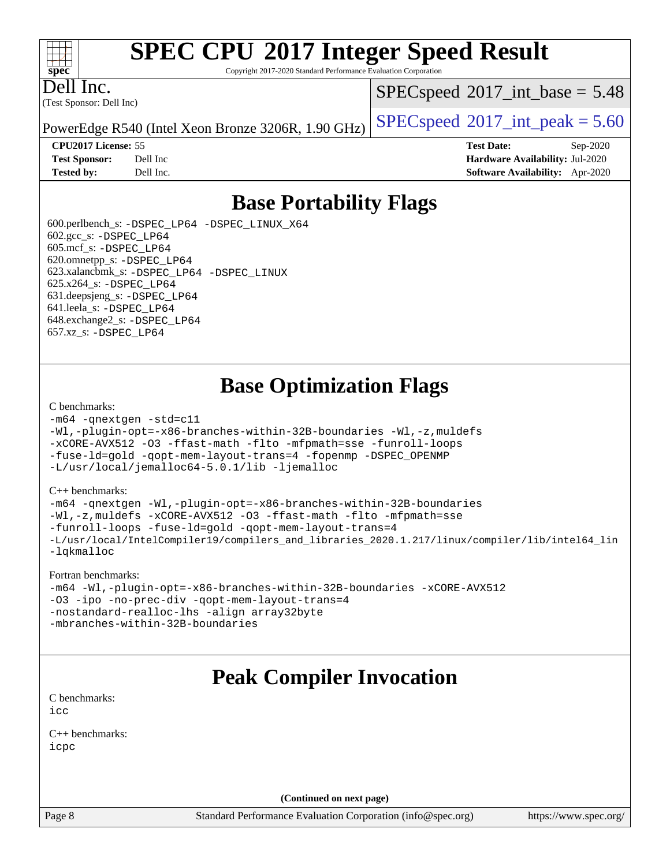#### $+\ +$ **[spec](http://www.spec.org/)**

# **[SPEC CPU](http://www.spec.org/auto/cpu2017/Docs/result-fields.html#SPECCPU2017IntegerSpeedResult)[2017 Integer Speed Result](http://www.spec.org/auto/cpu2017/Docs/result-fields.html#SPECCPU2017IntegerSpeedResult)**

Copyright 2017-2020 Standard Performance Evaluation Corporation

(Test Sponsor: Dell Inc) Dell Inc.

 $SPECspeed^{\circ}2017\_int\_base = 5.48$  $SPECspeed^{\circ}2017\_int\_base = 5.48$ 

PowerEdge R540 (Intel Xeon Bronze 3206R, 1.90 GHz)  $\left|$  [SPECspeed](http://www.spec.org/auto/cpu2017/Docs/result-fields.html#SPECspeed2017intpeak)®[2017\\_int\\_peak = 5](http://www.spec.org/auto/cpu2017/Docs/result-fields.html#SPECspeed2017intpeak).60

**[CPU2017 License:](http://www.spec.org/auto/cpu2017/Docs/result-fields.html#CPU2017License)** 55 **[Test Date:](http://www.spec.org/auto/cpu2017/Docs/result-fields.html#TestDate)** Sep-2020 **[Test Sponsor:](http://www.spec.org/auto/cpu2017/Docs/result-fields.html#TestSponsor)** Dell Inc **[Hardware Availability:](http://www.spec.org/auto/cpu2017/Docs/result-fields.html#HardwareAvailability)** Jul-2020 **[Tested by:](http://www.spec.org/auto/cpu2017/Docs/result-fields.html#Testedby)** Dell Inc. **[Software Availability:](http://www.spec.org/auto/cpu2017/Docs/result-fields.html#SoftwareAvailability)** Apr-2020

## **[Base Portability Flags](http://www.spec.org/auto/cpu2017/Docs/result-fields.html#BasePortabilityFlags)**

 600.perlbench\_s: [-DSPEC\\_LP64](http://www.spec.org/cpu2017/results/res2020q4/cpu2017-20200928-24059.flags.html#b600.perlbench_s_basePORTABILITY_DSPEC_LP64) [-DSPEC\\_LINUX\\_X64](http://www.spec.org/cpu2017/results/res2020q4/cpu2017-20200928-24059.flags.html#b600.perlbench_s_baseCPORTABILITY_DSPEC_LINUX_X64) 602.gcc\_s: [-DSPEC\\_LP64](http://www.spec.org/cpu2017/results/res2020q4/cpu2017-20200928-24059.flags.html#suite_basePORTABILITY602_gcc_s_DSPEC_LP64) 605.mcf\_s: [-DSPEC\\_LP64](http://www.spec.org/cpu2017/results/res2020q4/cpu2017-20200928-24059.flags.html#suite_basePORTABILITY605_mcf_s_DSPEC_LP64) 620.omnetpp\_s: [-DSPEC\\_LP64](http://www.spec.org/cpu2017/results/res2020q4/cpu2017-20200928-24059.flags.html#suite_basePORTABILITY620_omnetpp_s_DSPEC_LP64) 623.xalancbmk\_s: [-DSPEC\\_LP64](http://www.spec.org/cpu2017/results/res2020q4/cpu2017-20200928-24059.flags.html#suite_basePORTABILITY623_xalancbmk_s_DSPEC_LP64) [-DSPEC\\_LINUX](http://www.spec.org/cpu2017/results/res2020q4/cpu2017-20200928-24059.flags.html#b623.xalancbmk_s_baseCXXPORTABILITY_DSPEC_LINUX) 625.x264\_s: [-DSPEC\\_LP64](http://www.spec.org/cpu2017/results/res2020q4/cpu2017-20200928-24059.flags.html#suite_basePORTABILITY625_x264_s_DSPEC_LP64) 631.deepsjeng\_s: [-DSPEC\\_LP64](http://www.spec.org/cpu2017/results/res2020q4/cpu2017-20200928-24059.flags.html#suite_basePORTABILITY631_deepsjeng_s_DSPEC_LP64) 641.leela\_s: [-DSPEC\\_LP64](http://www.spec.org/cpu2017/results/res2020q4/cpu2017-20200928-24059.flags.html#suite_basePORTABILITY641_leela_s_DSPEC_LP64) 648.exchange2\_s: [-DSPEC\\_LP64](http://www.spec.org/cpu2017/results/res2020q4/cpu2017-20200928-24059.flags.html#suite_basePORTABILITY648_exchange2_s_DSPEC_LP64) 657.xz\_s: [-DSPEC\\_LP64](http://www.spec.org/cpu2017/results/res2020q4/cpu2017-20200928-24059.flags.html#suite_basePORTABILITY657_xz_s_DSPEC_LP64)

## **[Base Optimization Flags](http://www.spec.org/auto/cpu2017/Docs/result-fields.html#BaseOptimizationFlags)**

#### [C benchmarks](http://www.spec.org/auto/cpu2017/Docs/result-fields.html#Cbenchmarks):

```
-m64 -qnextgen -std=c11
-Wl,-plugin-opt=-x86-branches-within-32B-boundaries -Wl,-z,muldefs
-xCORE-AVX512 -O3 -ffast-math -flto -mfpmath=sse -funroll-loops
-fuse-ld=gold -qopt-mem-layout-trans=4 -fopenmp -DSPEC_OPENMP
-L/usr/local/jemalloc64-5.0.1/lib -ljemalloc
```
#### [C++ benchmarks:](http://www.spec.org/auto/cpu2017/Docs/result-fields.html#CXXbenchmarks)

[-m64](http://www.spec.org/cpu2017/results/res2020q4/cpu2017-20200928-24059.flags.html#user_CXXbase_m64-icc) [-qnextgen](http://www.spec.org/cpu2017/results/res2020q4/cpu2017-20200928-24059.flags.html#user_CXXbase_f-qnextgen) [-Wl,-plugin-opt=-x86-branches-within-32B-boundaries](http://www.spec.org/cpu2017/results/res2020q4/cpu2017-20200928-24059.flags.html#user_CXXbase_f-x86-branches-within-32B-boundaries_0098b4e4317ae60947b7b728078a624952a08ac37a3c797dfb4ffeb399e0c61a9dd0f2f44ce917e9361fb9076ccb15e7824594512dd315205382d84209e912f3) [-Wl,-z,muldefs](http://www.spec.org/cpu2017/results/res2020q4/cpu2017-20200928-24059.flags.html#user_CXXbase_link_force_multiple1_b4cbdb97b34bdee9ceefcfe54f4c8ea74255f0b02a4b23e853cdb0e18eb4525ac79b5a88067c842dd0ee6996c24547a27a4b99331201badda8798ef8a743f577) [-xCORE-AVX512](http://www.spec.org/cpu2017/results/res2020q4/cpu2017-20200928-24059.flags.html#user_CXXbase_f-xCORE-AVX512) [-O3](http://www.spec.org/cpu2017/results/res2020q4/cpu2017-20200928-24059.flags.html#user_CXXbase_f-O3) [-ffast-math](http://www.spec.org/cpu2017/results/res2020q4/cpu2017-20200928-24059.flags.html#user_CXXbase_f-ffast-math) [-flto](http://www.spec.org/cpu2017/results/res2020q4/cpu2017-20200928-24059.flags.html#user_CXXbase_f-flto) [-mfpmath=sse](http://www.spec.org/cpu2017/results/res2020q4/cpu2017-20200928-24059.flags.html#user_CXXbase_f-mfpmath_70eb8fac26bde974f8ab713bc9086c5621c0b8d2f6c86f38af0bd7062540daf19db5f3a066d8c6684be05d84c9b6322eb3b5be6619d967835195b93d6c02afa1) [-funroll-loops](http://www.spec.org/cpu2017/results/res2020q4/cpu2017-20200928-24059.flags.html#user_CXXbase_f-funroll-loops) [-fuse-ld=gold](http://www.spec.org/cpu2017/results/res2020q4/cpu2017-20200928-24059.flags.html#user_CXXbase_f-fuse-ld_920b3586e2b8c6e0748b9c84fa9b744736ba725a32cab14ad8f3d4ad28eecb2f59d1144823d2e17006539a88734fe1fc08fc3035f7676166309105a78aaabc32) [-qopt-mem-layout-trans=4](http://www.spec.org/cpu2017/results/res2020q4/cpu2017-20200928-24059.flags.html#user_CXXbase_f-qopt-mem-layout-trans_fa39e755916c150a61361b7846f310bcdf6f04e385ef281cadf3647acec3f0ae266d1a1d22d972a7087a248fd4e6ca390a3634700869573d231a252c784941a8) [-L/usr/local/IntelCompiler19/compilers\\_and\\_libraries\\_2020.1.217/linux/compiler/lib/intel64\\_lin](http://www.spec.org/cpu2017/results/res2020q4/cpu2017-20200928-24059.flags.html#user_CXXbase_linkpath_2cb6f503891ebf8baee7515f4e7d4ec1217444d1d05903cc0091ac4158de400651d2b2313a9fa414cb8a8f0e16ab029634f5c6db340f400369c190d4db8a54a0) [-lqkmalloc](http://www.spec.org/cpu2017/results/res2020q4/cpu2017-20200928-24059.flags.html#user_CXXbase_qkmalloc_link_lib_79a818439969f771c6bc311cfd333c00fc099dad35c030f5aab9dda831713d2015205805422f83de8875488a2991c0a156aaa600e1f9138f8fc37004abc96dc5)

#### [Fortran benchmarks:](http://www.spec.org/auto/cpu2017/Docs/result-fields.html#Fortranbenchmarks)

```
-m64 -Wl,-plugin-opt=-x86-branches-within-32B-boundaries -xCORE-AVX512
-O3 -ipo -no-prec-div -qopt-mem-layout-trans=4
-nostandard-realloc-lhs -align array32byte
-mbranches-within-32B-boundaries
```
## **[Peak Compiler Invocation](http://www.spec.org/auto/cpu2017/Docs/result-fields.html#PeakCompilerInvocation)**

[C benchmarks](http://www.spec.org/auto/cpu2017/Docs/result-fields.html#Cbenchmarks): [icc](http://www.spec.org/cpu2017/results/res2020q4/cpu2017-20200928-24059.flags.html#user_CCpeak_intel_icc_66fc1ee009f7361af1fbd72ca7dcefbb700085f36577c54f309893dd4ec40d12360134090235512931783d35fd58c0460139e722d5067c5574d8eaf2b3e37e92)

[C++ benchmarks:](http://www.spec.org/auto/cpu2017/Docs/result-fields.html#CXXbenchmarks) [icpc](http://www.spec.org/cpu2017/results/res2020q4/cpu2017-20200928-24059.flags.html#user_CXXpeak_intel_icpc_c510b6838c7f56d33e37e94d029a35b4a7bccf4766a728ee175e80a419847e808290a9b78be685c44ab727ea267ec2f070ec5dc83b407c0218cded6866a35d07)

**(Continued on next page)**

Page 8 Standard Performance Evaluation Corporation [\(info@spec.org\)](mailto:info@spec.org) <https://www.spec.org/>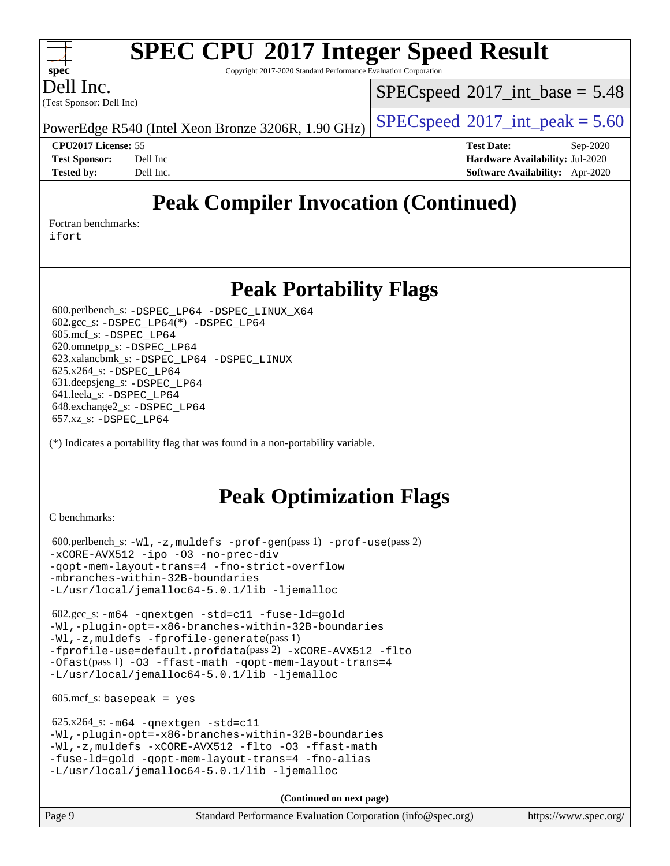Copyright 2017-2020 Standard Performance Evaluation Corporation

(Test Sponsor: Dell Inc) Dell Inc.

**[spec](http://www.spec.org/)**

 $+\ +$ 

 $SPECspeed^{\circ}2017\_int\_base = 5.48$  $SPECspeed^{\circ}2017\_int\_base = 5.48$ 

PowerEdge R540 (Intel Xeon Bronze 3206R, 1.90 GHz)  $\left|$  [SPECspeed](http://www.spec.org/auto/cpu2017/Docs/result-fields.html#SPECspeed2017intpeak)®[2017\\_int\\_peak = 5](http://www.spec.org/auto/cpu2017/Docs/result-fields.html#SPECspeed2017intpeak).60

**[CPU2017 License:](http://www.spec.org/auto/cpu2017/Docs/result-fields.html#CPU2017License)** 55 **[Test Date:](http://www.spec.org/auto/cpu2017/Docs/result-fields.html#TestDate)** Sep-2020 **[Test Sponsor:](http://www.spec.org/auto/cpu2017/Docs/result-fields.html#TestSponsor)** Dell Inc **[Hardware Availability:](http://www.spec.org/auto/cpu2017/Docs/result-fields.html#HardwareAvailability)** Jul-2020 **[Tested by:](http://www.spec.org/auto/cpu2017/Docs/result-fields.html#Testedby)** Dell Inc. **[Software Availability:](http://www.spec.org/auto/cpu2017/Docs/result-fields.html#SoftwareAvailability)** Apr-2020

## **[Peak Compiler Invocation \(Continued\)](http://www.spec.org/auto/cpu2017/Docs/result-fields.html#PeakCompilerInvocation)**

[Fortran benchmarks](http://www.spec.org/auto/cpu2017/Docs/result-fields.html#Fortranbenchmarks):

[ifort](http://www.spec.org/cpu2017/results/res2020q4/cpu2017-20200928-24059.flags.html#user_FCpeak_intel_ifort_8111460550e3ca792625aed983ce982f94888b8b503583aa7ba2b8303487b4d8a21a13e7191a45c5fd58ff318f48f9492884d4413fa793fd88dd292cad7027ca)

## **[Peak Portability Flags](http://www.spec.org/auto/cpu2017/Docs/result-fields.html#PeakPortabilityFlags)**

 600.perlbench\_s: [-DSPEC\\_LP64](http://www.spec.org/cpu2017/results/res2020q4/cpu2017-20200928-24059.flags.html#b600.perlbench_s_peakPORTABILITY_DSPEC_LP64) [-DSPEC\\_LINUX\\_X64](http://www.spec.org/cpu2017/results/res2020q4/cpu2017-20200928-24059.flags.html#b600.perlbench_s_peakCPORTABILITY_DSPEC_LINUX_X64) 602.gcc\_s: [-DSPEC\\_LP64](http://www.spec.org/cpu2017/results/res2020q4/cpu2017-20200928-24059.flags.html#suite_peakCCLD602_gcc_s_DSPEC_LP64)(\*) [-DSPEC\\_LP64](http://www.spec.org/cpu2017/results/res2020q4/cpu2017-20200928-24059.flags.html#suite_peakPORTABILITY602_gcc_s_DSPEC_LP64) 605.mcf\_s: [-DSPEC\\_LP64](http://www.spec.org/cpu2017/results/res2020q4/cpu2017-20200928-24059.flags.html#suite_peakPORTABILITY605_mcf_s_DSPEC_LP64) 620.omnetpp\_s: [-DSPEC\\_LP64](http://www.spec.org/cpu2017/results/res2020q4/cpu2017-20200928-24059.flags.html#suite_peakPORTABILITY620_omnetpp_s_DSPEC_LP64) 623.xalancbmk\_s: [-DSPEC\\_LP64](http://www.spec.org/cpu2017/results/res2020q4/cpu2017-20200928-24059.flags.html#suite_peakPORTABILITY623_xalancbmk_s_DSPEC_LP64) [-DSPEC\\_LINUX](http://www.spec.org/cpu2017/results/res2020q4/cpu2017-20200928-24059.flags.html#b623.xalancbmk_s_peakCXXPORTABILITY_DSPEC_LINUX) 625.x264\_s: [-DSPEC\\_LP64](http://www.spec.org/cpu2017/results/res2020q4/cpu2017-20200928-24059.flags.html#suite_peakPORTABILITY625_x264_s_DSPEC_LP64) 631.deepsjeng\_s: [-DSPEC\\_LP64](http://www.spec.org/cpu2017/results/res2020q4/cpu2017-20200928-24059.flags.html#suite_peakPORTABILITY631_deepsjeng_s_DSPEC_LP64) 641.leela\_s: [-DSPEC\\_LP64](http://www.spec.org/cpu2017/results/res2020q4/cpu2017-20200928-24059.flags.html#suite_peakPORTABILITY641_leela_s_DSPEC_LP64) 648.exchange2\_s: [-DSPEC\\_LP64](http://www.spec.org/cpu2017/results/res2020q4/cpu2017-20200928-24059.flags.html#suite_peakPORTABILITY648_exchange2_s_DSPEC_LP64) 657.xz\_s: [-DSPEC\\_LP64](http://www.spec.org/cpu2017/results/res2020q4/cpu2017-20200928-24059.flags.html#suite_peakPORTABILITY657_xz_s_DSPEC_LP64)

(\*) Indicates a portability flag that was found in a non-portability variable.

## **[Peak Optimization Flags](http://www.spec.org/auto/cpu2017/Docs/result-fields.html#PeakOptimizationFlags)**

[C benchmarks](http://www.spec.org/auto/cpu2017/Docs/result-fields.html#Cbenchmarks):

```
 600.perlbench_s: -Wl,-z,muldefs -prof-gen(pass 1) -prof-use(pass 2)
-xCORE-AVX512 -ipo -O3 -no-prec-div
-qopt-mem-layout-trans=4 -fno-strict-overflow
-mbranches-within-32B-boundaries
-L/usr/local/jemalloc64-5.0.1/lib -ljemalloc
```
 602.gcc\_s: [-m64](http://www.spec.org/cpu2017/results/res2020q4/cpu2017-20200928-24059.flags.html#user_peakCCLD602_gcc_s_m64-icc) [-qnextgen](http://www.spec.org/cpu2017/results/res2020q4/cpu2017-20200928-24059.flags.html#user_peakCCLD602_gcc_s_f-qnextgen) [-std=c11](http://www.spec.org/cpu2017/results/res2020q4/cpu2017-20200928-24059.flags.html#user_peakCCLD602_gcc_s_std-icc-std_0e1c27790398a4642dfca32ffe6c27b5796f9c2d2676156f2e42c9c44eaad0c049b1cdb667a270c34d979996257aeb8fc440bfb01818dbc9357bd9d174cb8524) [-fuse-ld=gold](http://www.spec.org/cpu2017/results/res2020q4/cpu2017-20200928-24059.flags.html#user_peakCCLD602_gcc_s_f-fuse-ld_920b3586e2b8c6e0748b9c84fa9b744736ba725a32cab14ad8f3d4ad28eecb2f59d1144823d2e17006539a88734fe1fc08fc3035f7676166309105a78aaabc32) [-Wl,-plugin-opt=-x86-branches-within-32B-boundaries](http://www.spec.org/cpu2017/results/res2020q4/cpu2017-20200928-24059.flags.html#user_peakLDFLAGS602_gcc_s_f-x86-branches-within-32B-boundaries_0098b4e4317ae60947b7b728078a624952a08ac37a3c797dfb4ffeb399e0c61a9dd0f2f44ce917e9361fb9076ccb15e7824594512dd315205382d84209e912f3) [-Wl,-z,muldefs](http://www.spec.org/cpu2017/results/res2020q4/cpu2017-20200928-24059.flags.html#user_peakEXTRA_LDFLAGS602_gcc_s_link_force_multiple1_b4cbdb97b34bdee9ceefcfe54f4c8ea74255f0b02a4b23e853cdb0e18eb4525ac79b5a88067c842dd0ee6996c24547a27a4b99331201badda8798ef8a743f577) [-fprofile-generate](http://www.spec.org/cpu2017/results/res2020q4/cpu2017-20200928-24059.flags.html#user_peakPASS1_CFLAGSPASS1_LDFLAGS602_gcc_s_fprofile-generate)(pass 1) [-fprofile-use=default.profdata](http://www.spec.org/cpu2017/results/res2020q4/cpu2017-20200928-24059.flags.html#user_peakPASS2_CFLAGSPASS2_LDFLAGS602_gcc_s_fprofile-use_56aeee182b92ec249f9670f17c9b8e7d83fe2d25538e35a2cf64c434b579a2235a8b8fc66ef5678d24461366bbab9d486c870d8a72905233fc08e43eefe3cd80)(pass 2) [-xCORE-AVX512](http://www.spec.org/cpu2017/results/res2020q4/cpu2017-20200928-24059.flags.html#user_peakCOPTIMIZEPASS1_CFLAGSPASS1_LDFLAGS602_gcc_s_f-xCORE-AVX512) [-flto](http://www.spec.org/cpu2017/results/res2020q4/cpu2017-20200928-24059.flags.html#user_peakCOPTIMIZEPASS1_CFLAGSPASS1_LDFLAGS602_gcc_s_f-flto) [-Ofast](http://www.spec.org/cpu2017/results/res2020q4/cpu2017-20200928-24059.flags.html#user_peakPASS1_CFLAGSPASS1_LDFLAGS602_gcc_s_f-Ofast)(pass 1) [-O3](http://www.spec.org/cpu2017/results/res2020q4/cpu2017-20200928-24059.flags.html#user_peakCOPTIMIZE602_gcc_s_f-O3) [-ffast-math](http://www.spec.org/cpu2017/results/res2020q4/cpu2017-20200928-24059.flags.html#user_peakCOPTIMIZE602_gcc_s_f-ffast-math) [-qopt-mem-layout-trans=4](http://www.spec.org/cpu2017/results/res2020q4/cpu2017-20200928-24059.flags.html#user_peakCOPTIMIZE602_gcc_s_f-qopt-mem-layout-trans_fa39e755916c150a61361b7846f310bcdf6f04e385ef281cadf3647acec3f0ae266d1a1d22d972a7087a248fd4e6ca390a3634700869573d231a252c784941a8) [-L/usr/local/jemalloc64-5.0.1/lib](http://www.spec.org/cpu2017/results/res2020q4/cpu2017-20200928-24059.flags.html#user_peakEXTRA_LIBS602_gcc_s_jemalloc_link_path64_1_cc289568b1a6c0fd3b62c91b824c27fcb5af5e8098e6ad028160d21144ef1b8aef3170d2acf0bee98a8da324cfe4f67d0a3d0c4cc4673d993d694dc2a0df248b) [-ljemalloc](http://www.spec.org/cpu2017/results/res2020q4/cpu2017-20200928-24059.flags.html#user_peakEXTRA_LIBS602_gcc_s_jemalloc_link_lib_d1249b907c500fa1c0672f44f562e3d0f79738ae9e3c4a9c376d49f265a04b9c99b167ecedbf6711b3085be911c67ff61f150a17b3472be731631ba4d0471706)

 $605.\text{mcf}\text{ s}:$  basepeak = yes

```
 625.x264_s: -m64 -qnextgen -std=c11
-Wl,-plugin-opt=-x86-branches-within-32B-boundaries
-Wl,-z,muldefs -xCORE-AVX512 -flto -O3 -ffast-math
-fuse-ld=gold -qopt-mem-layout-trans=4 -fno-alias
-L/usr/local/jemalloc64-5.0.1/lib -ljemalloc
```
**(Continued on next page)**